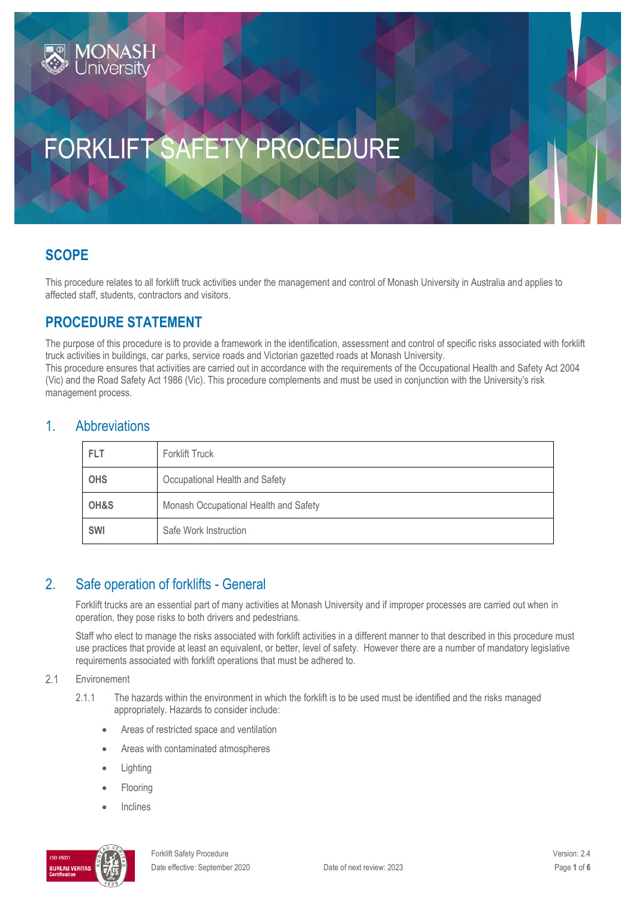# FORKLIFT SAFETY PROCEDURE

# **SCOPE**

This procedure relates to all forklift truck activities under the management and control of Monash University in Australia and applies to affected staff, students, contractors and visitors.

# **PROCEDURE STATEMENT**

**ONAS** 

The purpose of this procedure is to provide a framework in the identification, assessment and control of specific risks associated with forklift truck activities in buildings, car parks, service roads and Victorian gazetted roads at Monash University. This procedure ensures that activities are carried out in accordance with the requirements of the Occupational Health and Safety Act 2004 (Vic) and the Road Safety Act 1986 (Vic). This procedure complements and must be used in conjunction with the University's risk management process.

#### 1. Abbreviations

| FLT        | <b>Forklift Truck</b>                 |  |
|------------|---------------------------------------|--|
| <b>OHS</b> | Occupational Health and Safety        |  |
| OH&S       | Monash Occupational Health and Safety |  |
| <b>SWI</b> | Safe Work Instruction                 |  |

### 2. Safe operation of forklifts - General

Forklift trucks are an essential part of many activities at Monash University and if improper processes are carried out when in operation, they pose risks to both drivers and pedestrians.

Staff who elect to manage the risks associated with forklift activities in a different manner to that described in this procedure must use practices that provide at least an equivalent, or better, level of safety. However there are a number of mandatory legislative requirements associated with forklift operations that must be adhered to.

#### $2.1$ Environement

- 2.1.1 The hazards within the environment in which the forklift is to be used must be identified and the risks managed appropriately. Hazards to consider include:
	- Areas of restricted space and ventilation
	- Areas with contaminated atmospheres
	- Lighting
	- Flooring
	- Inclines

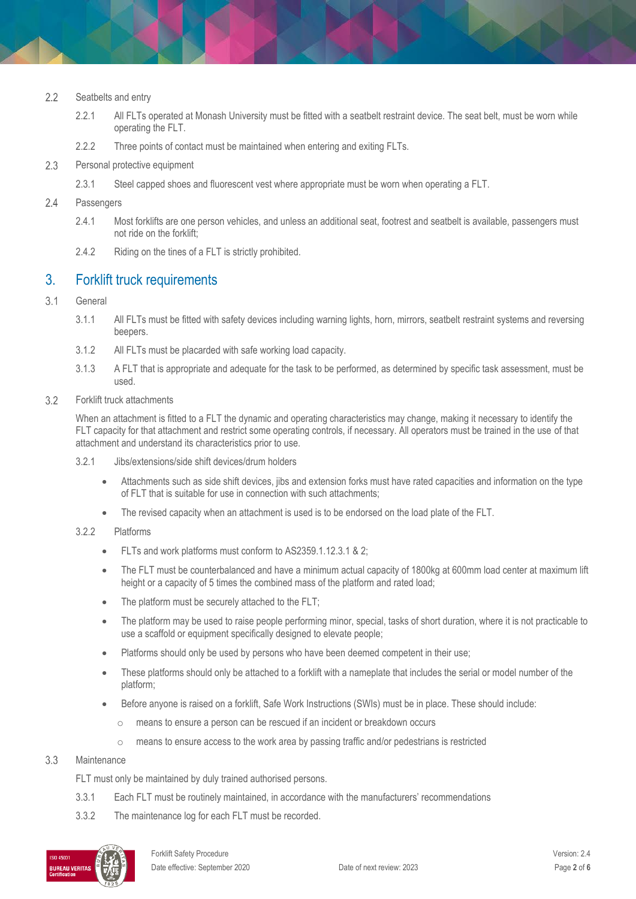- $2.2$ Seatbelts and entry
	- 2.2.1 All FLTs operated at Monash University must be fitted with a seatbelt restraint device. The seat belt, must be worn while operating the FLT.
	- 2.2.2 Three points of contact must be maintained when entering and exiting FLTs.
- $2.3$ Personal protective equipment
	- 2.3.1 Steel capped shoes and fluorescent vest where appropriate must be worn when operating a FLT.
- $2.4$ Passengers
	- 2.4.1 Most forklifts are one person vehicles, and unless an additional seat, footrest and seatbelt is available, passengers must not ride on the forklift;
	- 2.4.2 Riding on the tines of a FLT is strictly prohibited.

#### 3. Forklift truck requirements

- General  $3.1$ 
	- 3.1.1 All FLTs must be fitted with safety devices including warning lights, horn, mirrors, seatbelt restraint systems and reversing beepers.
	- 3.1.2 All FLTs must be placarded with safe working load capacity.
	- 3.1.3 A FLT that is appropriate and adequate for the task to be performed, as determined by specific task assessment, must be used.
- $3.2$ Forklift truck attachments

When an attachment is fitted to a FLT the dynamic and operating characteristics may change, making it necessary to identify the FLT capacity for that attachment and restrict some operating controls, if necessary. All operators must be trained in the use of that attachment and understand its characteristics prior to use.

- 3.2.1 Jibs/extensions/side shift devices/drum holders
	- Attachments such as side shift devices, jibs and extension forks must have rated capacities and information on the type of FLT that is suitable for use in connection with such attachments;
	- The revised capacity when an attachment is used is to be endorsed on the load plate of the FLT.
- 3.2.2 Platforms
	- FLTs and work platforms must conform to AS2359.1.12.3.1 & 2;
	- The FLT must be counterbalanced and have a minimum actual capacity of 1800kg at 600mm load center at maximum lift height or a capacity of 5 times the combined mass of the platform and rated load;
	- The platform must be securely attached to the FLT;
	- The platform may be used to raise people performing minor, special, tasks of short duration, where it is not practicable to use a scaffold or equipment specifically designed to elevate people;
	- Platforms should only be used by persons who have been deemed competent in their use;
	- These platforms should only be attached to a forklift with a nameplate that includes the serial or model number of the platform;
	- Before anyone is raised on a forklift, Safe Work Instructions (SWIs) must be in place. These should include:
		- o means to ensure a person can be rescued if an incident or breakdown occurs
		- o means to ensure access to the work area by passing traffic and/or pedestrians is restricted

#### $3.3$ **Maintenance**

FLT must only be maintained by duly trained authorised persons.

- 3.3.1 Each FLT must be routinely maintained, in accordance with the manufacturers' recommendations
- 3.3.2 The maintenance log for each FLT must be recorded.

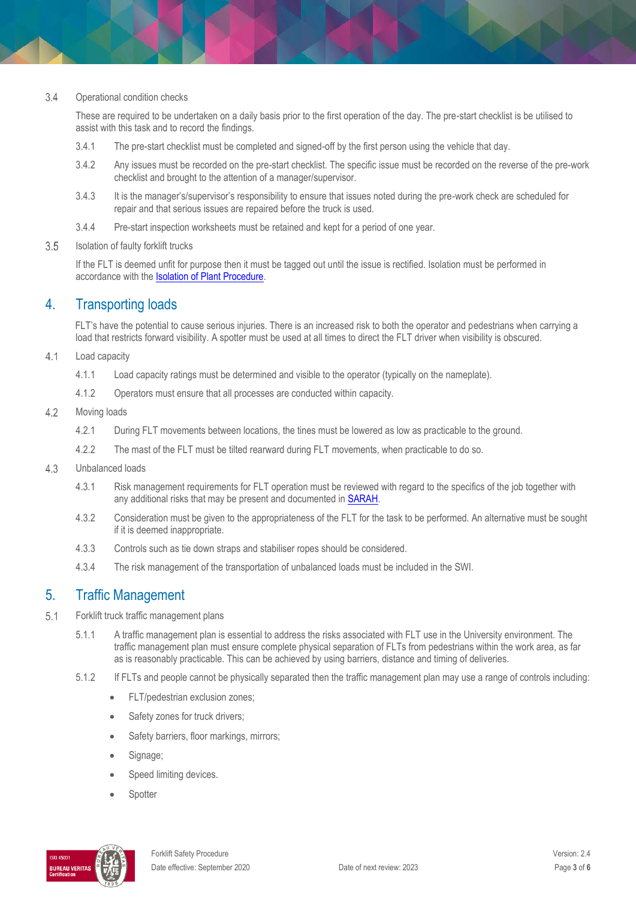#### $3.4$ Operational condition checks

These are required to be undertaken on a daily basis prior to the first operation of the day. The pre-start checklist is be utilised to assist with this task and to record the findings.

- 3.4.1 The pre-start checklist must be completed and signed-off by the first person using the vehicle that day.
- 3.4.2 Any issues must be recorded on the pre-start checklist. The specific issue must be recorded on the reverse of the pre-work checklist and brought to the attention of a manager/supervisor.
- 3.4.3 It is the manager's/supervisor's responsibility to ensure that issues noted during the pre-work check are scheduled for repair and that serious issues are repaired before the truck is used.
- 3.4.4 Pre-start inspection worksheets must be retained and kept for a period of one year.
- 3.5 Isolation of faulty forklift trucks

If the FLT is deemed unfit for purpose then it must be tagged out until the issue is rectified. Isolation must be performed in accordance with the **Isolation of Plant Procedure**.

### 4. Transporting loads

FLT's have the potential to cause serious injuries. There is an increased risk to both the operator and pedestrians when carrying a load that restricts forward visibility. A spotter must be used at all times to direct the FLT driver when visibility is obscured.

- $4.1$ Load capacity
	- 4.1.1 Load capacity ratings must be determined and visible to the operator (typically on the nameplate).
	- 4.1.2 Operators must ensure that all processes are conducted within capacity.
- $4.2$ Moving loads
	- 4.2.1 During FLT movements between locations, the tines must be lowered as low as practicable to the ground.
	- 4.2.2 The mast of the FLT must be tilted rearward during FLT movements, when practicable to do so.
- 4.3 Unbalanced loads
	- 4.3.1 Risk management requirements for FLT operation must be reviewed with regard to the specifics of the job together with any additional risks that may be present and documented i[n SARAH.](https://www.monash.edu/ohs/info-docs/safety-topics/risk-management-and-work-safe-instructions)
	- 4.3.2 Consideration must be given to the appropriateness of the FLT for the task to be performed. An alternative must be sought if it is deemed inappropriate.
	- 4.3.3 Controls such as tie down straps and stabiliser ropes should be considered.
	- 4.3.4 The risk management of the transportation of unbalanced loads must be included in the SWI.

### 5. Traffic Management

- $5.1$ Forklift truck traffic management plans
	- 5.1.1 A traffic management plan is essential to address the risks associated with FLT use in the University environment. The traffic management plan must ensure complete physical separation of FLTs from pedestrians within the work area, as far as is reasonably practicable. This can be achieved by using barriers, distance and timing of deliveries.
	- 5.1.2 If FLTs and people cannot be physically separated then the traffic management plan may use a range of controls including:
		- FLT/pedestrian exclusion zones;
		- Safety zones for truck drivers;
		- Safety barriers, floor markings, mirrors;
		- Signage:
		- Speed limiting devices.
		- **Spotter**

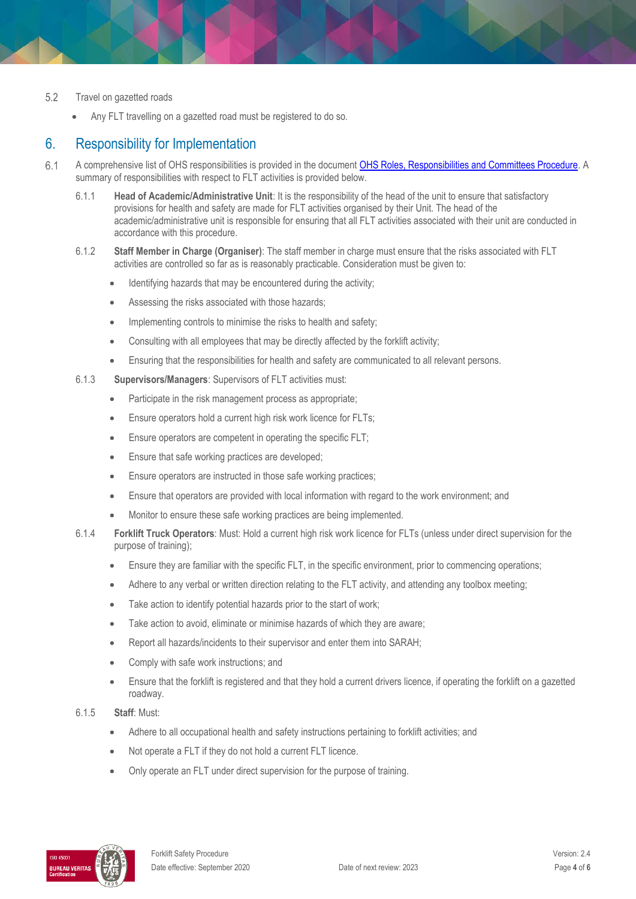#### 5.2 Travel on gazetted roads

Any FLT travelling on a gazetted road must be registered to do so.

### 6. Responsibility for Implementation

- $6.1$ A comprehensive list of OHS responsibilities is provided in the documen[t OHS Roles, Responsibilities and Committees Procedure.](https://publicpolicydms.monash.edu/Monash/documents/1935644) A summary of responsibilities with respect to FLT activities is provided below.
	- 6.1.1 **Head of Academic/Administrative Unit**: It is the responsibility of the head of the unit to ensure that satisfactory provisions for health and safety are made for FLT activities organised by their Unit. The head of the academic/administrative unit is responsible for ensuring that all FLT activities associated with their unit are conducted in accordance with this procedure.
	- 6.1.2 **Staff Member in Charge (Organiser)**: The staff member in charge must ensure that the risks associated with FLT activities are controlled so far as is reasonably practicable. Consideration must be given to:
		- Identifying hazards that may be encountered during the activity;
		- Assessing the risks associated with those hazards;
		- Implementing controls to minimise the risks to health and safety;
		- Consulting with all employees that may be directly affected by the forklift activity;
		- Ensuring that the responsibilities for health and safety are communicated to all relevant persons.
	- 6.1.3 **Supervisors/Managers**: Supervisors of FLT activities must:
		- Participate in the risk management process as appropriate;
		- Ensure operators hold a current high risk work licence for FLTs;
		- Ensure operators are competent in operating the specific FLT;
		- Ensure that safe working practices are developed;
		- Ensure operators are instructed in those safe working practices;
		- Ensure that operators are provided with local information with regard to the work environment; and
		- Monitor to ensure these safe working practices are being implemented.
	- 6.1.4 **Forklift Truck Operators**: Must: Hold a current high risk work licence for FLTs (unless under direct supervision for the purpose of training);
		- Ensure they are familiar with the specific FLT, in the specific environment, prior to commencing operations;
		- Adhere to any verbal or written direction relating to the FLT activity, and attending any toolbox meeting;
		- Take action to identify potential hazards prior to the start of work;
		- Take action to avoid, eliminate or minimise hazards of which they are aware;
		- Report all hazards/incidents to their supervisor and enter them into SARAH;
		- Comply with safe work instructions; and
		- Ensure that the forklift is registered and that they hold a current drivers licence, if operating the forklift on a gazetted roadway.
	- 6.1.5 **Staff**: Must:
		- Adhere to all occupational health and safety instructions pertaining to forklift activities; and
		- Not operate a FLT if they do not hold a current FLT licence.
		- Only operate an FLT under direct supervision for the purpose of training.

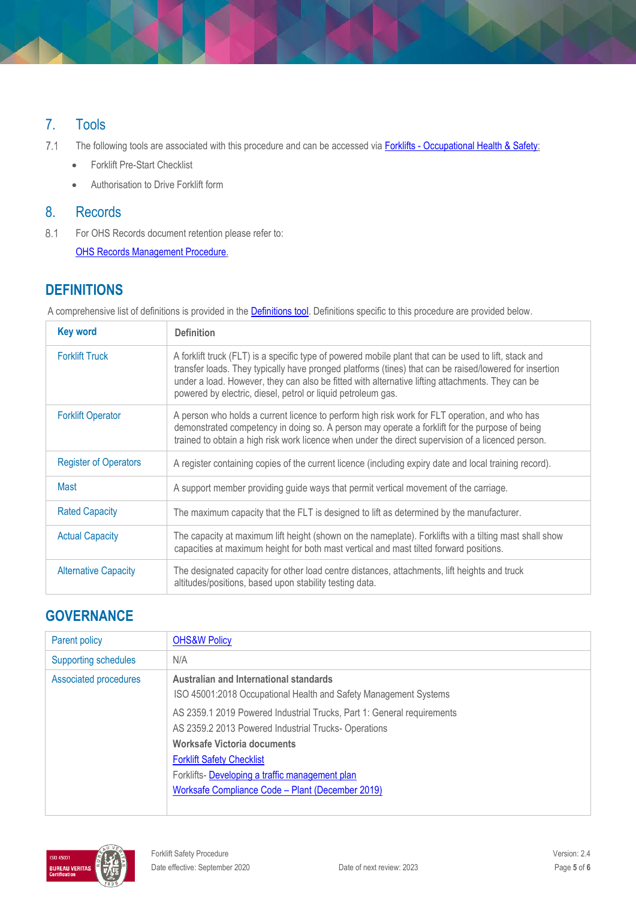# 7. Tools

 $7.1$ The following tools are associated with this procedure and can be accessed via Forklifts - [Occupational Health & Safety:](http://www.monash.edu/ohs/info-docs/safety-topics/forklifts)

- **•** Forklift Pre-Start Checklist
- Authorisation to Drive Forklift form

### 8. Records

 $8.1$ For OHS Records document retention please refer to: [OHS Records Management Procedure.](https://publicpolicydms.monash.edu/Monash/documents/1935642)

# **DEFINITIONS**

A comprehensive list of definitions is provided in the **Definitions tool**. Definitions specific to this procedure are provided below.

| <b>Key word</b>              | <b>Definition</b>                                                                                                                                                                                                                                                                                                                                                                   |  |
|------------------------------|-------------------------------------------------------------------------------------------------------------------------------------------------------------------------------------------------------------------------------------------------------------------------------------------------------------------------------------------------------------------------------------|--|
| <b>Forklift Truck</b>        | A forklift truck (FLT) is a specific type of powered mobile plant that can be used to lift, stack and<br>transfer loads. They typically have pronged platforms (tines) that can be raised/lowered for insertion<br>under a load. However, they can also be fitted with alternative lifting attachments. They can be<br>powered by electric, diesel, petrol or liquid petroleum gas. |  |
| <b>Forklift Operator</b>     | A person who holds a current licence to perform high risk work for FLT operation, and who has<br>demonstrated competency in doing so. A person may operate a forklift for the purpose of being<br>trained to obtain a high risk work licence when under the direct supervision of a licenced person.                                                                                |  |
| <b>Register of Operators</b> | A register containing copies of the current licence (including expiry date and local training record).                                                                                                                                                                                                                                                                              |  |
| Mast                         | A support member providing guide ways that permit vertical movement of the carriage.                                                                                                                                                                                                                                                                                                |  |
| <b>Rated Capacity</b>        | The maximum capacity that the FLT is designed to lift as determined by the manufacturer.                                                                                                                                                                                                                                                                                            |  |
| <b>Actual Capacity</b>       | The capacity at maximum lift height (shown on the nameplate). Forklifts with a tilting mast shall show<br>capacities at maximum height for both mast vertical and mast tilted forward positions.                                                                                                                                                                                    |  |
| <b>Alternative Capacity</b>  | The designated capacity for other load centre distances, attachments, lift heights and truck<br>altitudes/positions, based upon stability testing data.                                                                                                                                                                                                                             |  |

# **GOVERNANCE**

| Parent policy               | <b>OHS&amp;W Policy</b>                                                                                                                                                                                                                                                                                 |
|-----------------------------|---------------------------------------------------------------------------------------------------------------------------------------------------------------------------------------------------------------------------------------------------------------------------------------------------------|
| <b>Supporting schedules</b> | N/A                                                                                                                                                                                                                                                                                                     |
| Associated procedures       | Australian and International standards<br>ISO 45001:2018 Occupational Health and Safety Management Systems                                                                                                                                                                                              |
|                             | AS 2359.1 2019 Powered Industrial Trucks, Part 1: General requirements<br>AS 2359.2 2013 Powered Industrial Trucks-Operations<br>Worksafe Victoria documents<br><b>Forklift Safety Checklist</b><br>Forklifts- Developing a traffic management plan<br>Worksafe Compliance Code - Plant (December 2019) |